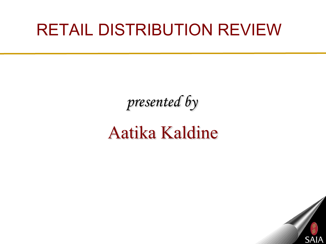# RETAIL DISTRIBUTION REVIEW

# *presented by*

# Aatika Kaldine

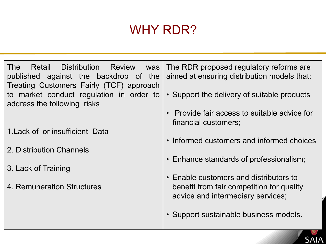### WHY RDR?

The Retail Distribution Review was published against the backdrop of the Treating Customers Fairly (TCF) approach to market conduct regulation in order to address the following risks

- 1.Lack of or insufficient Data
- 2. Distribution Channels
- 3. Lack of Training
- . 4. Remuneration Structures

The RDR proposed regulatory reforms are aimed at ensuring distribution models that:

- Support the delivery of suitable products
- Provide fair access to suitable advice for financial customers;
- Informed customers and informed choices
- Enhance standards of professionalism;
- Enable customers and distributors to benefit from fair competition for quality advice and intermediary services;
- Support sustainable business models.

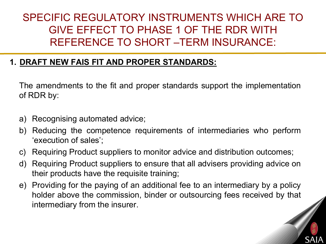### SPECIFIC REGULATORY INSTRUMENTS WHICH ARE TO GIVE EFFECT TO PHASE 1 OF THE RDR WITH REFERENCE TO SHORT –TERM INSURANCE:

#### **1. DRAFT NEW FAIS FIT AND PROPER STANDARDS:**

The amendments to the fit and proper standards support the implementation of RDR by:

- a) Recognising automated advice;
- b) Reducing the competence requirements of intermediaries who perform 'execution of sales';
- c) Requiring Product suppliers to monitor advice and distribution outcomes;
- d) Requiring Product suppliers to ensure that all advisers providing advice on their products have the requisite training;
- e) Providing for the paying of an additional fee to an intermediary by a policy holder above the commission, binder or outsourcing fees received by that intermediary from the insurer.

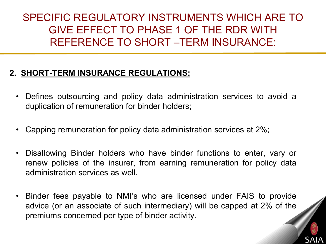SPECIFIC REGULATORY INSTRUMENTS WHICH ARE TO GIVE EFFECT TO PHASE 1 OF THE RDR WITH REFERENCE TO SHORT –TERM INSURANCE:

#### **2. SHORT-TERM INSURANCE REGULATIONS:**

- Defines outsourcing and policy data administration services to avoid a duplication of remuneration for binder holders;
- Capping remuneration for policy data administration services at 2%;
- Disallowing Binder holders who have binder functions to enter, vary or renew policies of the insurer, from earning remuneration for policy data administration services as well.
- Binder fees payable to NMI's who are licensed under FAIS to provide advice (or an associate of such intermediary) will be capped at 2% of the premiums concerned per type of binder activity.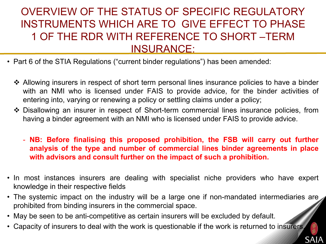### OVERVIEW OF THE STATUS OF SPECIFIC REGULATORY INSTRUMENTS WHICH ARE TO GIVE EFFECT TO PHASE 1 OF THE RDR WITH REFERENCE TO SHORT –TERM INSURANCE:

- Part 6 of the STIA Regulations ("current binder regulations") has been amended:
	- ◆ Allowing insurers in respect of short term personal lines insurance policies to have a binder with an NMI who is licensed under FAIS to provide advice, for the binder activities of entering into, varying or renewing a policy or settling claims under a policy;
	- ◆ Disallowing an insurer in respect of Short-term commercial lines insurance policies, from having a binder agreement with an NMI who is licensed under FAIS to provide advice.
		- **NB: Before finalising this proposed prohibition, the FSB will carry out further analysis of the type and number of commercial lines binder agreements in place with advisors and consult further on the impact of such a prohibition.**
- In most instances insurers are dealing with specialist niche providers who have expert knowledge in their respective fields
- The systemic impact on the industry will be a large one if non-mandated intermediaries are prohibited from binding insurers in the commercial space.
- May be seen to be anti-competitive as certain insurers will be excluded by default.
- Capacity of insurers to deal with the work is questionable if the work is returned to insurers.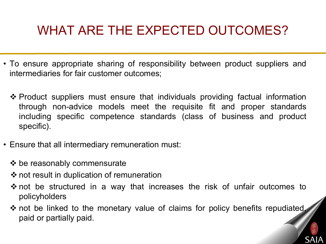## WHAT ARE THE EXPECTED OUTCOMES?

- To ensure appropriate sharing of responsibility between product suppliers and intermediaries for fair customer outcomes;
	- Product suppliers must ensure that individuals providing factual information through non-advice models meet the requisite fit and proper standards including specific competence standards (class of business and product specific).
- Ensure that all intermediary remuneration must:
	- $\triangleleft$  be reasonably commensurate
	- $\cdot$  not result in duplication of remuneration
	- not be structured in a way that increases the risk of unfair outcomes to policyholders
	- $\cdot$  not be linked to the monetary value of claims for policy benefits repudiated, paid or partially paid.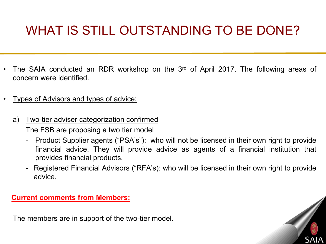# WHAT IS STILL OUTSTANDING TO BE DONE?

- The SAIA conducted an RDR workshop on the 3<sup>rd</sup> of April 2017. The following areas of concern were identified.
- Types of Advisors and types of advice:
	- a) Two-tier adviser categorization confirmed

The FSB are proposing a two tier model

- Product Supplier agents ("PSA's"): who will not be licensed in their own right to provide financial advice. They will provide advice as agents of a financial institution that provides financial products.
- Registered Financial Advisors ("RFA's): who will be licensed in their own right to provide advice.

**Current comments from Members:**

The members are in support of the two-tier model.

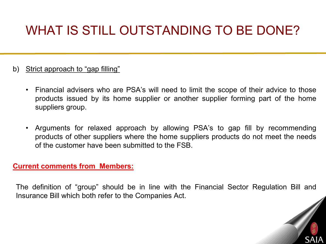# WHAT IS STILL OUTSTANDING TO BE DONE?

- b) Strict approach to "gap filling"
	- Financial advisers who are PSA's will need to limit the scope of their advice to those products issued by its home supplier or another supplier forming part of the home suppliers group.
	- Arguments for relaxed approach by allowing PSA's to gap fill by recommending products of other suppliers where the home suppliers products do not meet the needs of the customer have been submitted to the FSB.

#### **Current comments from Members:**

The definition of "group" should be in line with the Financial Sector Regulation Bill and Insurance Bill which both refer to the Companies Act.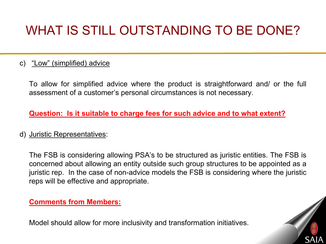# WHAT IS STILL OUTSTANDING TO BE DONE?

#### c) "Low" (simplified) advice

To allow for simplified advice where the product is straightforward and/ or the full assessment of a customer's personal circumstances is not necessary.

#### **Question: Is it suitable to charge fees for such advice and to what extent?**

#### d) Juristic Representatives:

The FSB is considering allowing PSA's to be structured as juristic entities. The FSB is concerned about allowing an entity outside such group structures to be appointed as a juristic rep. In the case of non-advice models the FSB is considering where the juristic reps will be effective and appropriate.

#### **Comments from Members:**

Model should allow for more inclusivity and transformation initiatives.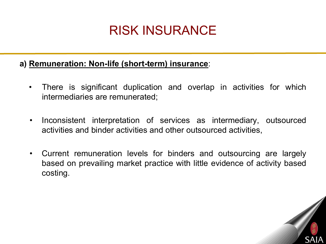### RISK INSURANCE

#### **a) Remuneration: Non-life (short-term) insurance**:

- There is significant duplication and overlap in activities for which intermediaries are remunerated;
- Inconsistent interpretation of services as intermediary, outsourced activities and binder activities and other outsourced activities,
- Current remuneration levels for binders and outsourcing are largely based on prevailing market practice with little evidence of activity based costing.

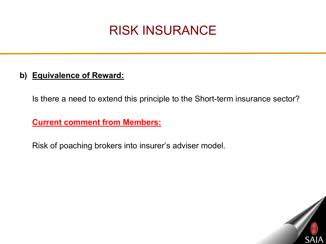### RISK INSURANCE

#### **b) Equivalence of Reward:**

Is there a need to extend this principle to the Short-term insurance sector?

**Current comment from Members:**

Risk of poaching brokers into insurer's adviser model.

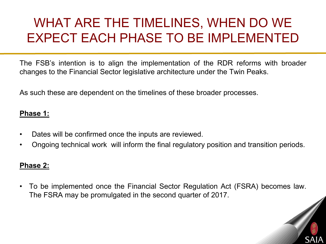### WHAT ARE THE TIMELINES, WHEN DO WE EXPECT EACH PHASE TO BE IMPLEMENTED

The FSB's intention is to align the implementation of the RDR reforms with broader changes to the Financial Sector legislative architecture under the Twin Peaks.

As such these are dependent on the timelines of these broader processes.

#### **Phase 1:**

- Dates will be confirmed once the inputs are reviewed.
- Ongoing technical work will inform the final regulatory position and transition periods.

#### **Phase 2:**

• To be implemented once the Financial Sector Regulation Act (FSRA) becomes law. The FSRA may be promulgated in the second quarter of 2017.